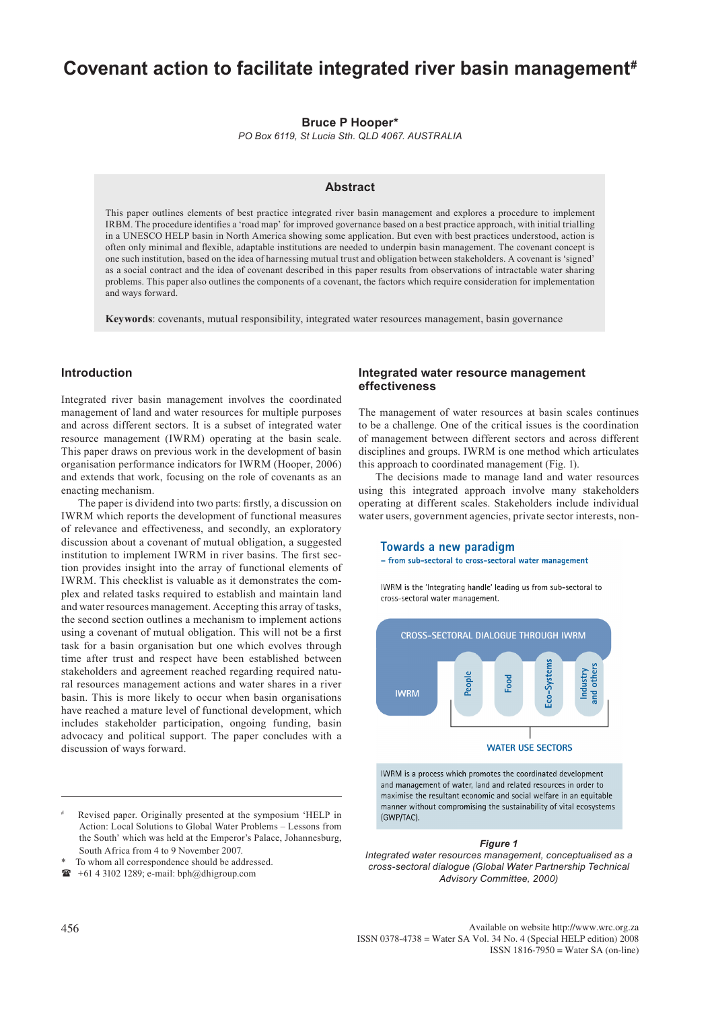# **Covenant action to facilitate integrated river basin management#**

**Bruce P Hooper\*** *PO Box 6119, St Lucia Sth. QLD 4067. AUSTRALIA*

#### **Abstract**

This paper outlines elements of best practice integrated river basin management and explores a procedure to implement IRBM. The procedure identifies a 'road map' for improved governance based on a best practice approach, with initial trialling in a UNESCO HELP basin in North America showing some application. But even with best practices understood, action is often only minimal and flexible, adaptable institutions are needed to underpin basin management. The covenant concept is one such institution, based on the idea of harnessing mutual trust and obligation between stakeholders. A covenant is 'signed' as a social contract and the idea of covenant described in this paper results from observations of intractable water sharing problems. This paper also outlines the components of a covenant, the factors which require consideration for implementation and ways forward.

**Keywords**: covenants, mutual responsibility, integrated water resources management, basin governance

## **Introduction**

Integrated river basin management involves the coordinated management of land and water resources for multiple purposes and across different sectors. It is a subset of integrated water resource management (IWRM) operating at the basin scale. This paper draws on previous work in the development of basin organisation performance indicators for IWRM (Hooper, 2006) and extends that work, focusing on the role of covenants as an enacting mechanism.

The paper is dividend into two parts: firstly, a discussion on IWRM which reports the development of functional measures of relevance and effectiveness, and secondly, an exploratory discussion about a covenant of mutual obligation, a suggested institution to implement IWRM in river basins. The first section provides insight into the array of functional elements of IWRM. This checklist is valuable as it demonstrates the complex and related tasks required to establish and maintain land and water resources management. Accepting this array of tasks, the second section outlines a mechanism to implement actions using a covenant of mutual obligation. This will not be a first task for a basin organisation but one which evolves through time after trust and respect have been established between stakeholders and agreement reached regarding required natural resources management actions and water shares in a river basin. This is more likely to occur when basin organisations have reached a mature level of functional development, which includes stakeholder participation, ongoing funding, basin advocacy and political support. The paper concludes with a discussion of ways forward.

### **Integrated water resource management effectiveness**

The management of water resources at basin scales continues to be a challenge. One of the critical issues is the coordination of management between different sectors and across different disciplines and groups. IWRM is one method which articulates this approach to coordinated management (Fig. 1).

The decisions made to manage land and water resources using this integrated approach involve many stakeholders operating at different scales. Stakeholders include individual water users, government agencies, private sector interests, non-

## Towards a new paradigm

- from sub-sectoral to cross-sectoral water management

IWRM is the 'Integrating handle' leading us from sub-sectoral to cross-sectoral water management.



IWRM is a process which promotes the coordinated development and management of water, land and related resources in order to maximise the resultant economic and social welfare in an equitable manner without compromising the sustainability of vital ecosystems (GWP/TAC).

#### *Figure 1*

*Integrated water resources management, conceptualised as a cross-sectoral dialogue (Global Water Partnership Technical Advisory Committee, 2000)*

- To whom all correspondence should be addressed.
- $\bullet$  +61 4 3102 1289; e-mail: bph@dhigroup.com

Revised paper. Originally presented at the symposium 'HELP in Action: Local Solutions to Global Water Problems – Lessons from the South' which was held at the Emperor's Palace, Johannesburg, South Africa from 4 to 9 November 2007.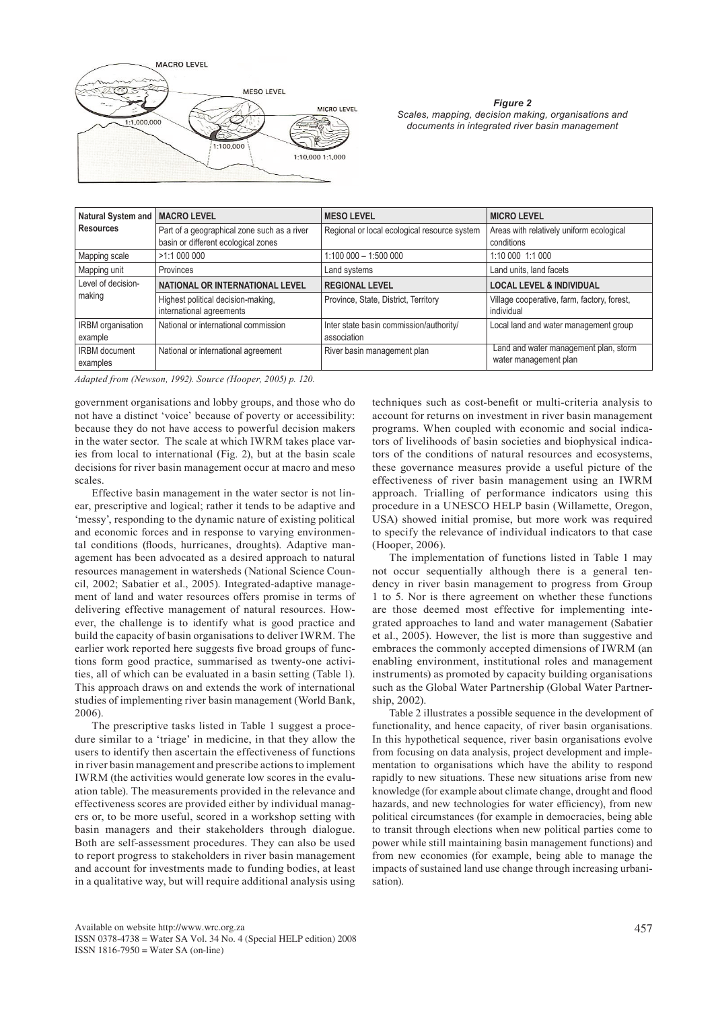

*Figure 2*

*Scales, mapping, decision making, organisations and documents in integrated river basin management*

| Natural System and<br><b>Resources</b> | <b>MACRO LEVEL</b>                                                                 | <b>MESO LEVEL</b>                                      | <b>MICRO LEVEL</b>                                             |
|----------------------------------------|------------------------------------------------------------------------------------|--------------------------------------------------------|----------------------------------------------------------------|
|                                        | Part of a geographical zone such as a river<br>basin or different ecological zones | Regional or local ecological resource system           | Areas with relatively uniform ecological<br>conditions         |
| Mapping scale                          | >1:1000000                                                                         | $1:100000 - 1:500000$                                  | 1:10 000 1:1 000                                               |
| Mapping unit                           | Provinces                                                                          | Land systems                                           | Land units, land facets                                        |
| Level of decision-                     | NATIONAL OR INTERNATIONAL LEVEL                                                    | <b>REGIONAL LEVEL</b>                                  | <b>LOCAL LEVEL &amp; INDIVIDUAL</b>                            |
| making                                 | Highest political decision-making,<br>international agreements                     | Province, State, District, Territory                   | Village cooperative, farm, factory, forest,<br>individual      |
| <b>IRBM</b> organisation<br>example    | National or international commission                                               | Inter state basin commission/authority/<br>association | Local land and water management group                          |
| <b>IRBM</b> document<br>examples       | National or international agreement                                                | River basin management plan                            | Land and water management plan, storm<br>water management plan |

*Adapted from (Newson, 1992). Source (Hooper, 2005) p. 120.*

government organisations and lobby groups, and those who do not have a distinct 'voice' because of poverty or accessibility: because they do not have access to powerful decision makers in the water sector. The scale at which IWRM takes place varies from local to international (Fig. 2), but at the basin scale decisions for river basin management occur at macro and meso scales

Effective basin management in the water sector is not linear, prescriptive and logical; rather it tends to be adaptive and 'messy', responding to the dynamic nature of existing political and economic forces and in response to varying environmental conditions (floods, hurricanes, droughts). Adaptive management has been advocated as a desired approach to natural resources management in watersheds (National Science Council, 2002; Sabatier et al., 2005). Integrated-adaptive management of land and water resources offers promise in terms of delivering effective management of natural resources. However, the challenge is to identify what is good practice and build the capacity of basin organisations to deliver IWRM. The earlier work reported here suggests five broad groups of functions form good practice, summarised as twenty-one activities, all of which can be evaluated in a basin setting (Table 1). This approach draws on and extends the work of international studies of implementing river basin management (World Bank, 2006).

The prescriptive tasks listed in Table 1 suggest a procedure similar to a 'triage' in medicine, in that they allow the users to identify then ascertain the effectiveness of functions in river basin management and prescribe actions to implement IWRM (the activities would generate low scores in the evaluation table). The measurements provided in the relevance and effectiveness scores are provided either by individual managers or, to be more useful, scored in a workshop setting with basin managers and their stakeholders through dialogue. Both are self-assessment procedures. They can also be used to report progress to stakeholders in river basin management and account for investments made to funding bodies, at least in a qualitative way, but will require additional analysis using techniques such as cost-benefit or multi-criteria analysis to account for returns on investment in river basin management programs. When coupled with economic and social indicators of livelihoods of basin societies and biophysical indicators of the conditions of natural resources and ecosystems, these governance measures provide a useful picture of the effectiveness of river basin management using an IWRM approach. Trialling of performance indicators using this procedure in a UNESCO HELP basin (Willamette, Oregon, USA) showed initial promise, but more work was required to specify the relevance of individual indicators to that case (Hooper, 2006).

The implementation of functions listed in Table 1 may not occur sequentially although there is a general tendency in river basin management to progress from Group 1 to 5. Nor is there agreement on whether these functions are those deemed most effective for implementing integrated approaches to land and water management (Sabatier et al., 2005). However, the list is more than suggestive and embraces the commonly accepted dimensions of IWRM (an enabling environment, institutional roles and management instruments) as promoted by capacity building organisations such as the Global Water Partnership (Global Water Partnership, 2002).

Table 2 illustrates a possible sequence in the development of functionality, and hence capacity, of river basin organisations. In this hypothetical sequence, river basin organisations evolve from focusing on data analysis, project development and implementation to organisations which have the ability to respond rapidly to new situations. These new situations arise from new knowledge (for example about climate change, drought and flood hazards, and new technologies for water efficiency), from new political circumstances (for example in democracies, being able to transit through elections when new political parties come to power while still maintaining basin management functions) and from new economies (for example, being able to manage the impacts of sustained land use change through increasing urbanisation).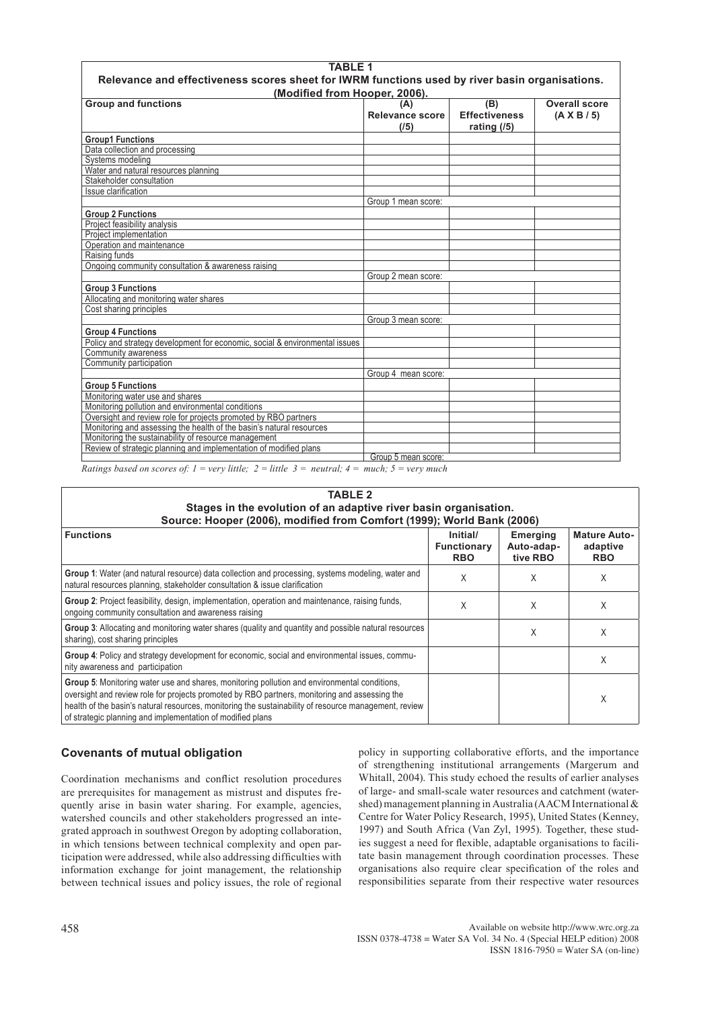| <b>TABLE 1</b>                                                                                 |                     |                      |                      |  |  |  |  |
|------------------------------------------------------------------------------------------------|---------------------|----------------------|----------------------|--|--|--|--|
| Relevance and effectiveness scores sheet for IWRM functions used by river basin organisations. |                     |                      |                      |  |  |  |  |
| (Modified from Hooper, 2006).                                                                  |                     |                      |                      |  |  |  |  |
| <b>Group and functions</b>                                                                     | (A)                 | (B)                  | <b>Overall score</b> |  |  |  |  |
|                                                                                                | Relevance score     | <b>Effectiveness</b> | (A X B / 5)          |  |  |  |  |
|                                                                                                | (15)                | rating $(15)$        |                      |  |  |  |  |
| <b>Group1 Functions</b>                                                                        |                     |                      |                      |  |  |  |  |
| Data collection and processing                                                                 |                     |                      |                      |  |  |  |  |
| Systems modeling                                                                               |                     |                      |                      |  |  |  |  |
| Water and natural resources planning                                                           |                     |                      |                      |  |  |  |  |
| Stakeholder consultation                                                                       |                     |                      |                      |  |  |  |  |
| <b>Issue clarification</b>                                                                     |                     |                      |                      |  |  |  |  |
|                                                                                                | Group 1 mean score: |                      |                      |  |  |  |  |
| <b>Group 2 Functions</b>                                                                       |                     |                      |                      |  |  |  |  |
| Project feasibility analysis                                                                   |                     |                      |                      |  |  |  |  |
| Project implementation                                                                         |                     |                      |                      |  |  |  |  |
| Operation and maintenance                                                                      |                     |                      |                      |  |  |  |  |
| Raising funds                                                                                  |                     |                      |                      |  |  |  |  |
| Ongoing community consultation & awareness raising                                             |                     |                      |                      |  |  |  |  |
|                                                                                                | Group 2 mean score: |                      |                      |  |  |  |  |
| <b>Group 3 Functions</b>                                                                       |                     |                      |                      |  |  |  |  |
| Allocating and monitoring water shares                                                         |                     |                      |                      |  |  |  |  |
| Cost sharing principles                                                                        |                     |                      |                      |  |  |  |  |
|                                                                                                | Group 3 mean score: |                      |                      |  |  |  |  |
| <b>Group 4 Functions</b>                                                                       |                     |                      |                      |  |  |  |  |
| Policy and strategy development for economic, social & environmental issues                    |                     |                      |                      |  |  |  |  |
| Community awareness                                                                            |                     |                      |                      |  |  |  |  |
| Community participation                                                                        |                     |                      |                      |  |  |  |  |
|                                                                                                | Group 4 mean score: |                      |                      |  |  |  |  |
| <b>Group 5 Functions</b>                                                                       |                     |                      |                      |  |  |  |  |
| Monitoring water use and shares                                                                |                     |                      |                      |  |  |  |  |
| Monitoring pollution and environmental conditions                                              |                     |                      |                      |  |  |  |  |
| Oversight and review role for projects promoted by RBO partners                                |                     |                      |                      |  |  |  |  |
| Monitoring and assessing the health of the basin's natural resources                           |                     |                      |                      |  |  |  |  |
| Monitoring the sustainability of resource management                                           |                     |                      |                      |  |  |  |  |
| Review of strategic planning and implementation of modified plans                              |                     |                      |                      |  |  |  |  |
|                                                                                                | Group 5 mean score: |                      |                      |  |  |  |  |

*Ratings based on scores of: 1 = very little; 2 = little 3 = neutral; 4 = much; 5 = very much* 

| <b>TABLE 2</b>                                                                                                                                                                                                                                                                                                                                                       |                                       |                                           |                                               |  |  |  |  |
|----------------------------------------------------------------------------------------------------------------------------------------------------------------------------------------------------------------------------------------------------------------------------------------------------------------------------------------------------------------------|---------------------------------------|-------------------------------------------|-----------------------------------------------|--|--|--|--|
| Stages in the evolution of an adaptive river basin organisation.<br>Source: Hooper (2006), modified from Comfort (1999); World Bank (2006)                                                                                                                                                                                                                           |                                       |                                           |                                               |  |  |  |  |
| <b>Functions</b>                                                                                                                                                                                                                                                                                                                                                     | Initial/<br>Functionary<br><b>RBO</b> | <b>Emerging</b><br>Auto-adap-<br>tive RBO | <b>Mature Auto-</b><br>adaptive<br><b>RBO</b> |  |  |  |  |
| <b>Group 1:</b> Water (and natural resource) data collection and processing, systems modeling, water and<br>natural resources planning, stakeholder consultation & issue clarification                                                                                                                                                                               | X                                     | X                                         | Χ                                             |  |  |  |  |
| Group 2: Project feasibility, design, implementation, operation and maintenance, raising funds,<br>ongoing community consultation and awareness raising                                                                                                                                                                                                              | Χ                                     | X                                         | Χ                                             |  |  |  |  |
| Group 3: Allocating and monitoring water shares (quality and quantity and possible natural resources<br>sharing), cost sharing principles                                                                                                                                                                                                                            |                                       | X                                         | Χ                                             |  |  |  |  |
| Group 4: Policy and strategy development for economic, social and environmental issues, commu-<br>nity awareness and participation                                                                                                                                                                                                                                   |                                       |                                           | Χ                                             |  |  |  |  |
| Group 5: Monitoring water use and shares, monitoring pollution and environmental conditions,<br>oversight and review role for projects promoted by RBO partners, monitoring and assessing the<br>health of the basin's natural resources, monitoring the sustainability of resource management, review<br>of strategic planning and implementation of modified plans |                                       |                                           | Χ                                             |  |  |  |  |

# **Covenants of mutual obligation**

Coordination mechanisms and conflict resolution procedures are prerequisites for management as mistrust and disputes frequently arise in basin water sharing. For example, agencies, watershed councils and other stakeholders progressed an integrated approach in southwest Oregon by adopting collaboration, in which tensions between technical complexity and open participation were addressed, while also addressing difficulties with information exchange for joint management, the relationship between technical issues and policy issues, the role of regional

policy in supporting collaborative efforts, and the importance of strengthening institutional arrangements (Margerum and Whitall, 2004). This study echoed the results of earlier analyses of large- and small-scale water resources and catchment (watershed) management planning in Australia (AACM International & Centre for Water Policy Research, 1995), United States (Kenney, 1997) and South Africa (Van Zyl, 1995). Together, these studies suggest a need for flexible, adaptable organisations to facilitate basin management through coordination processes. These organisations also require clear specification of the roles and responsibilities separate from their respective water resources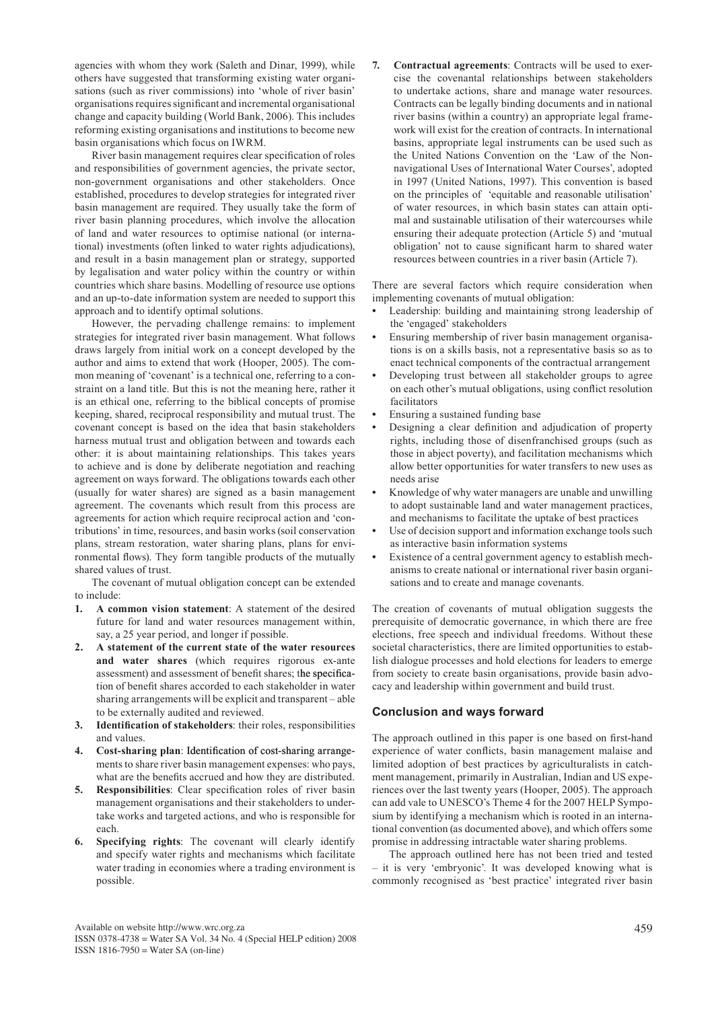agencies with whom they work (Saleth and Dinar, 1999), while others have suggested that transforming existing water organisations (such as river commissions) into 'whole of river basin' organisations requires significant and incremental organisational change and capacity building (World Bank, 2006). This includes reforming existing organisations and institutions to become new basin organisations which focus on IWRM.

River basin management requires clear specification of roles and responsibilities of government agencies, the private sector, non-government organisations and other stakeholders. Once established, procedures to develop strategies for integrated river basin management are required. They usually take the form of river basin planning procedures, which involve the allocation of land and water resources to optimise national (or international) investments (often linked to water rights adjudications), and result in a basin management plan or strategy, supported by legalisation and water policy within the country or within countries which share basins. Modelling of resource use options and an up-to-date information system are needed to support this approach and to identify optimal solutions.

However, the pervading challenge remains: to implement strategies for integrated river basin management. What follows draws largely from initial work on a concept developed by the author and aims to extend that work (Hooper, 2005). The common meaning of 'covenant' is a technical one, referring to a constraint on a land title. But this is not the meaning here, rather it is an ethical one, referring to the biblical concepts of promise keeping, shared, reciprocal responsibility and mutual trust. The covenant concept is based on the idea that basin stakeholders harness mutual trust and obligation between and towards each other: it is about maintaining relationships. This takes years to achieve and is done by deliberate negotiation and reaching agreement on ways forward. The obligations towards each other (usually for water shares) are signed as a basin management agreement. The covenants which result from this process are agreements for action which require reciprocal action and 'contributions' in time, resources, and basin works (soil conservation plans, stream restoration, water sharing plans, plans for environmental flows). They form tangible products of the mutually shared values of trust.

The covenant of mutual obligation concept can be extended to include:

- **1. A common vision statement**: A statement of the desired future for land and water resources management within, say, a 25 year period, and longer if possible.
- **2. A statement of the current state of the water resources and water shares** (which requires rigorous ex-ante assessment) and assessment of benefit shares; the specification of benefit shares accorded to each stakeholder in water sharing arrangements will be explicit and transparent – able to be externally audited and reviewed.
- **3. Identification of stakeholders**: their roles, responsibilities and values.
- **4. Cost-sharing plan**: Identification of cost-sharing arrangements to share river basin management expenses: who pays, what are the benefits accrued and how they are distributed.
- **5. Responsibilities**: Clear specification roles of river basin management organisations and their stakeholders to undertake works and targeted actions, and who is responsible for each.
- **6. Specifying rights**: The covenant will clearly identify and specify water rights and mechanisms which facilitate water trading in economies where a trading environment is possible.

**7. Contractual agreements**: Contracts will be used to exercise the covenantal relationships between stakeholders to undertake actions, share and manage water resources. Contracts can be legally binding documents and in national river basins (within a country) an appropriate legal framework will exist for the creation of contracts. In international basins, appropriate legal instruments can be used such as the United Nations Convention on the 'Law of the Nonnavigational Uses of International Water Courses', adopted in 1997 (United Nations, 1997). This convention is based on the principles of 'equitable and reasonable utilisation' of water resources, in which basin states can attain optimal and sustainable utilisation of their watercourses while ensuring their adequate protection (Article 5) and 'mutual obligation' not to cause significant harm to shared water resources between countries in a river basin (Article 7).

There are several factors which require consideration when implementing covenants of mutual obligation:

- **•** Leadership: building and maintaining strong leadership of the 'engaged' stakeholders
- **•** Ensuring membership of river basin management organisations is on a skills basis, not a representative basis so as to enact technical components of the contractual arrangement
- **•** Developing trust between all stakeholder groups to agree on each other's mutual obligations, using conflict resolution facilitators
- **•** Ensuring a sustained funding base
- **•** Designing a clear definition and adjudication of property rights, including those of disenfranchised groups (such as those in abject poverty), and facilitation mechanisms which allow better opportunities for water transfers to new uses as needs arise
- **•** Knowledge of why water managers are unable and unwilling to adopt sustainable land and water management practices, and mechanisms to facilitate the uptake of best practices
- **•** Use of decision support and information exchange tools such as interactive basin information systems
- **•** Existence of a central government agency to establish mechanisms to create national or international river basin organisations and to create and manage covenants.

The creation of covenants of mutual obligation suggests the prerequisite of democratic governance, in which there are free elections, free speech and individual freedoms. Without these societal characteristics, there are limited opportunities to establish dialogue processes and hold elections for leaders to emerge from society to create basin organisations, provide basin advocacy and leadership within government and build trust.

## **Conclusion and ways forward**

The approach outlined in this paper is one based on first-hand experience of water conflicts, basin management malaise and limited adoption of best practices by agriculturalists in catchment management, primarily in Australian, Indian and US experiences over the last twenty years (Hooper, 2005). The approach can add vale to UNESCO's Theme 4 for the 2007 HELP Symposium by identifying a mechanism which is rooted in an international convention (as documented above), and which offers some promise in addressing intractable water sharing problems.

The approach outlined here has not been tried and tested – it is very 'embryonic'. It was developed knowing what is commonly recognised as 'best practice' integrated river basin